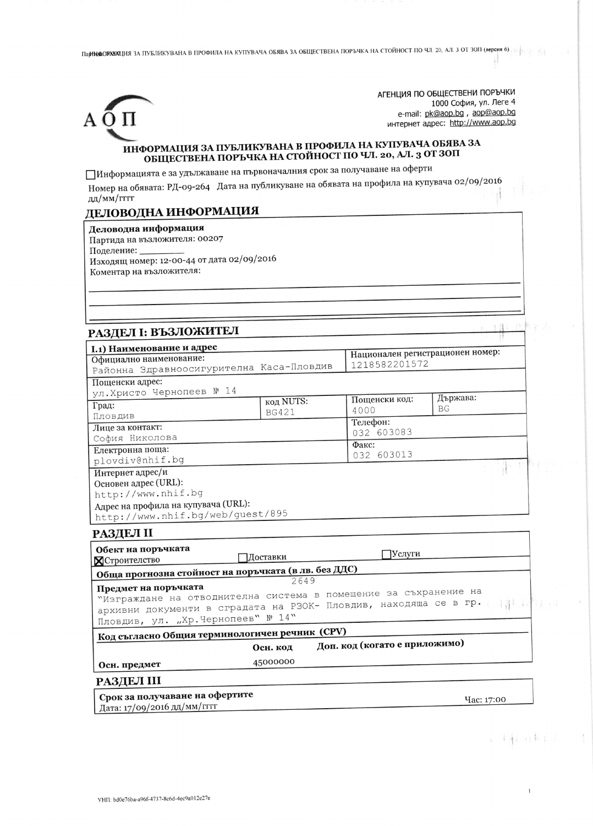Па**ј НАФОРОГОГОГ (ВЕРСИЯ** ЗА ПУБЛИКУВАНА В ПРОФИЛА НА КУПУВАЧА ОБЯВА ЗА ОБЩЕСТВЕНА ПОРЪЧКА НА СТОЙНОСТ ПО ЧЛ. 20, АЛ. 3 ОТ ЗОП (версия 6) .



АГЕНЦИЯ ПО ОБЩЕСТВЕНИ ПОРЪЧКИ 1000 София, ул. Леге 4 e-mail: pk@aop.bg, aop@aop.bg интернет адрес: http://www.aop.bg

l d

(b) 4 年(1) 4 4 年(1) 六月

## ИНФОРМАЦИЯ ЗА ПУБЛИКУВАНА В ПРОФИЛА НА КУПУВАЧА ОБЯВА ЗА ОБЩЕСТВЕНА ПОРЪЧКА НА СТОЙНОСТ ПО ЧЛ. 20, АЛ. 3 ОТ ЗОП

ПИнформацията е за удължаване на първоначалния срок за получаване на оферти

Номер на обявата: РД-09-264 Дата на публикуване на обявата на профила на купувача 02/09/2016 дд/мм/гггг

## ДЕЛОВОДНА ИНФОРМАЦИЯ

Деловодна информация Партида на възложителя: 00207 Поделение: Изходящ номер: 12-00-44 от дата 02/09/2016 Коментар на възложителя:

## РАЗЛЕЛ І: ВЪЗЛОЖИТЕЛ

| I.1) Наименование и адрес                                        |              |                                                   |            |  |
|------------------------------------------------------------------|--------------|---------------------------------------------------|------------|--|
| Официално наименование:                                          |              | Национален регистрационен номер:<br>1218582201572 |            |  |
| Районна Здравноосигурителна Каса-Пловдив                         |              |                                                   |            |  |
| Пощенски адрес:                                                  |              |                                                   |            |  |
| ул.Христо Чернопеев № 14                                         |              |                                                   | Държава:   |  |
| Град:                                                            | код NUTS:    | Пощенски код:<br>4000                             | <b>BG</b>  |  |
| Пловдив                                                          | <b>BG421</b> | Телефон:                                          |            |  |
| Лице за контакт:                                                 |              | 032 603083                                        |            |  |
| София Николова                                                   |              | Факс:                                             |            |  |
| Електронна поща:                                                 |              | 032 603013                                        |            |  |
| plovdiv@nhif.bq                                                  |              |                                                   |            |  |
| Интернет адрес/и                                                 |              |                                                   |            |  |
| Основен адрес (URL):                                             |              |                                                   |            |  |
| http://www.nhif.bg                                               |              |                                                   |            |  |
| Адрес на профила на купувача (URL):                              |              |                                                   |            |  |
| http://www.nhif.bg/web/guest/895                                 |              |                                                   |            |  |
| РАЗДЕЛ II                                                        |              |                                                   |            |  |
| Обект на поръчката                                               | ЈУслуги      |                                                   |            |  |
| Доставки<br><b>Х</b> Строителство                                |              |                                                   |            |  |
| Обща прогнозна стойност на поръчката (в лв. без ДДС)             |              |                                                   |            |  |
| Предмет на поръчката                                             | 2649         |                                                   |            |  |
| "Изграждане на отводнителна система в помещение за съхранение на |              |                                                   |            |  |
| архивни документи в сградата на РЗОК- Пловдив, находяща се в гр. |              |                                                   | $-131.1.$  |  |
|                                                                  |              |                                                   |            |  |
|                                                                  |              |                                                   |            |  |
| Пловдив, ул. "Хр.Чернопеев" № 14"                                |              |                                                   |            |  |
| Код съгласно Общия терминологичен речник (CPV)                   |              | Доп. код (когато е приложимо)                     |            |  |
|                                                                  | Осн. код     |                                                   |            |  |
| Осн. предмет                                                     | 45000000     |                                                   |            |  |
| РАЗДЕЛ III                                                       |              |                                                   |            |  |
| Срок за получаване на офертите<br>Дата: 17/09/2016 дд/мм/гггг    |              |                                                   | Час: 17:00 |  |